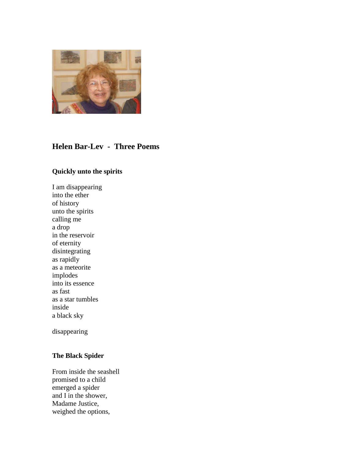

## **Helen Bar-Lev - Three Poems**

## **Quickly unto the spirits**

I am disappearing into the ether of history unto the spirits calling me a drop in the reservoir of eternity disintegrating as rapidly as a meteorite implodes into its essence as fast as a star tumbles inside a black sky

disappearing

## **The Black Spider**

From inside the seashell promised to a child emerged a spider and I in the shower, Madame Justice, weighed the options,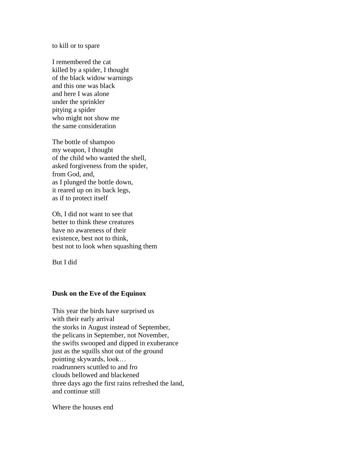to kill or to spare

I remembered the cat killed by a spider, I thought of the black widow warnings and this one was black and here I was alone under the sprinkler pitying a spider who might not show me the same consideration

The bottle of shampoo my weapon, I thought of the child who wanted the shell, asked forgiveness from the spider, from God, and, as I plunged the bottle down, it reared up on its back legs, as if to protect itself

Oh, I did not want to see that better to think these creatures have no awareness of their existence, best not to think, best not to look when squashing them

But I did

## **Dusk on the Eve of the Equinox**

This year the birds have surprised us with their early arrival the storks in August instead of September, the pelicans in September, not November, the swifts swooped and dipped in exuberance just as the squills shot out of the ground pointing skywards, look… roadrunners scuttled to and fro clouds bellowed and blackened three days ago the first rains refreshed the land, and continue still

Where the houses end